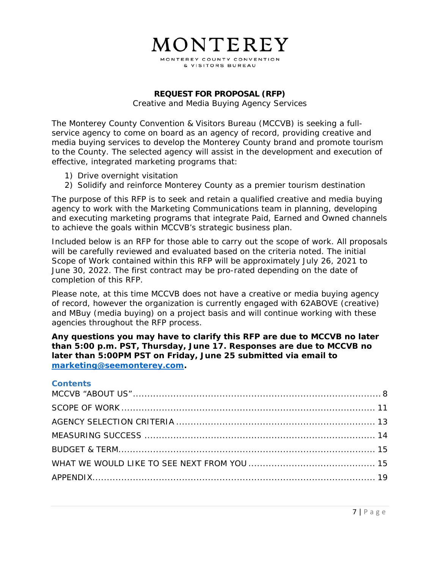## MONTEREY MONTEREY COUNTY CONVENTION

& VISITORS BUREAU

#### **REQUEST FOR PROPOSAL (RFP)**

Creative and Media Buying Agency Services

The Monterey County Convention & Visitors Bureau (MCCVB) is seeking a fullservice agency to come on board as an agency of record, providing creative and media buying services to develop the Monterey County brand and promote tourism to the County. The selected agency will assist in the development and execution of effective, integrated marketing programs that:

- 1) Drive overnight visitation
- 2) Solidify and reinforce Monterey County as a premier tourism destination

The purpose of this RFP is to seek and retain a qualified creative and media buying agency to work with the Marketing Communications team in planning, developing and executing marketing programs that integrate Paid, Earned and Owned channels to achieve the goals within MCCVB's strategic business plan.

Included below is an RFP for those able to carry out the scope of work. All proposals will be carefully reviewed and evaluated based on the criteria noted. The initial Scope of Work contained within this RFP will be approximately July 26, 2021 to June 30, 2022. The first contract may be pro-rated depending on the date of completion of this RFP.

Please note, at this time MCCVB does not have a creative or media buying agency of record, however the organization is currently engaged with 62ABOVE (creative) and MBuy (media buying) on a project basis and will continue working with these agencies throughout the RFP process.

**Any questions you may have to clarify this RFP are due to MCCVB no later than 5:00 p.m. PST, Thursday, June 17. Responses are due to MCCVB no later than 5:00PM PST on Friday, June 25 submitted via email to marketing@seemonterey.com.** 

#### **Contents**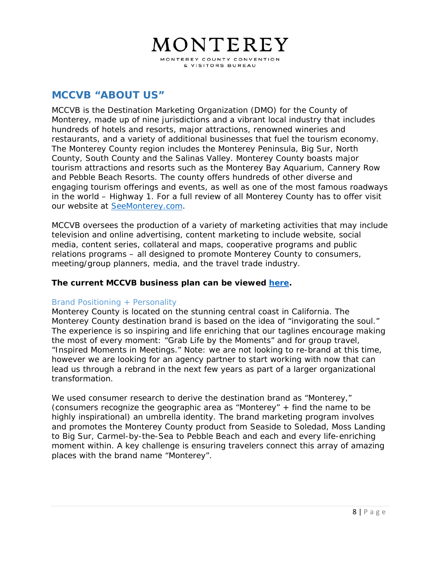# MONTEREY MONTEREY COUNTY CONVENTION

& VISITORS BUREAU

## **MCCVB "ABOUT US"**

MCCVB is the Destination Marketing Organization (DMO) for the County of Monterey, made up of nine jurisdictions and a vibrant local industry that includes hundreds of hotels and resorts, major attractions, renowned wineries and restaurants, and a variety of additional businesses that fuel the tourism economy. The Monterey County region includes the Monterey Peninsula, Big Sur, North County, South County and the Salinas Valley. Monterey County boasts major tourism attractions and resorts such as the Monterey Bay Aquarium, Cannery Row and Pebble Beach Resorts. The county offers hundreds of other diverse and engaging tourism offerings and events, as well as one of the most famous roadways in the world – Highway 1. For a full review of all Monterey County has to offer visit our website at SeeMonterey.com.

MCCVB oversees the production of a variety of marketing activities that may include television and online advertising, content marketing to include website, social media, content series, collateral and maps, cooperative programs and public relations programs – all designed to promote Monterey County to consumers, meeting/group planners, media, and the travel trade industry.

#### **The current MCCVB business plan can be viewed here.**

#### Brand Positioning + Personality

Monterey County is located on the stunning central coast in California. The Monterey County destination brand is based on the idea of "invigorating the soul." The experience is so inspiring and life enriching that our taglines encourage making the most of every moment: "*Grab Life by the Moments*" and for group travel, "*Inspired Moments in Meetings*." Note: we are not looking to re-brand at this time, however we are looking for an agency partner to start working with now that can lead us through a rebrand in the next few years as part of a larger organizational transformation.

We used consumer research to derive the destination brand as "Monterey," (consumers recognize the geographic area as "Monterey" + find the name to be highly inspirational) an umbrella identity. The brand marketing program involves and promotes the Monterey County product from Seaside to Soledad, Moss Landing to Big Sur, Carmel-by-the-Sea to Pebble Beach and each and every life-enriching moment within. A key challenge is ensuring travelers connect this array of amazing places with the brand name "Monterey".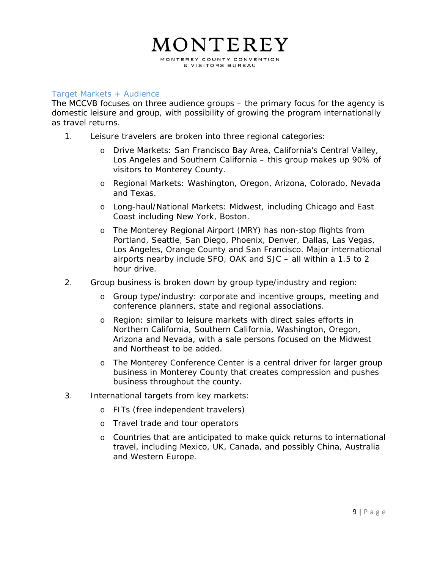#### Target Markets + Audience

The MCCVB focuses on three audience groups – the primary focus for the agency is domestic leisure and group, with possibility of growing the program internationally as travel returns.

- 1. Leisure travelers are broken into three regional categories:
	- o Drive Markets: San Francisco Bay Area, California's Central Valley, Los Angeles and Southern California – this group makes up 90% of visitors to Monterey County.
	- o Regional Markets: Washington, Oregon, Arizona, Colorado, Nevada and Texas.
	- o Long-haul/National Markets: Midwest, including Chicago and East Coast including New York, Boston.
	- o The Monterey Regional Airport (MRY) has non-stop flights from Portland, Seattle, San Diego, Phoenix, Denver, Dallas, Las Vegas, Los Angeles, Orange County and San Francisco. Major international airports nearby include SFO, OAK and SJC – all within a 1.5 to 2 hour drive.
- 2. Group business is broken down by group type/industry and region:
	- o Group type/industry: corporate and incentive groups, meeting and conference planners, state and regional associations.
	- o Region: similar to leisure markets with direct sales efforts in Northern California, Southern California, Washington, Oregon, Arizona and Nevada, with a sale persons focused on the Midwest and Northeast to be added.
	- o The Monterey Conference Center is a central driver for larger group business in Monterey County that creates compression and pushes business throughout the county.
- 3. International targets from key markets:
	- o FITs (free independent travelers)
	- o Travel trade and tour operators
	- o Countries that are anticipated to make quick returns to international travel, including Mexico, UK, Canada, and possibly China, Australia and Western Europe.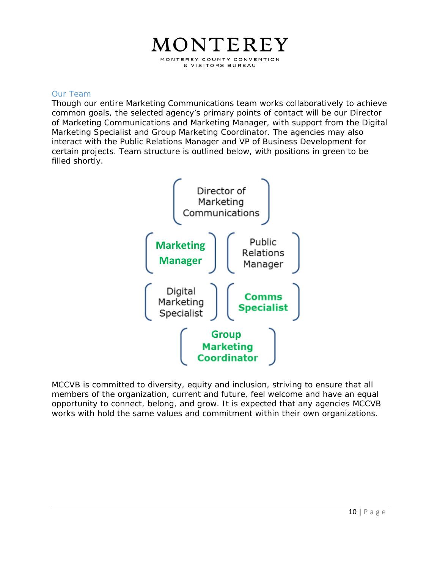#### Our Team

Though our entire Marketing Communications team works collaboratively to achieve common goals, the selected agency's primary points of contact will be our Director of Marketing Communications and Marketing Manager, with support from the Digital Marketing Specialist and Group Marketing Coordinator. The agencies may also interact with the Public Relations Manager and VP of Business Development for certain projects. Team structure is outlined below, with positions in green to be filled shortly.



MCCVB is committed to diversity, equity and inclusion, striving to ensure that all members of the organization, current and future, feel welcome and have an equal opportunity to connect, belong, and grow. It is expected that any agencies MCCVB works with hold the same values and commitment within their own organizations.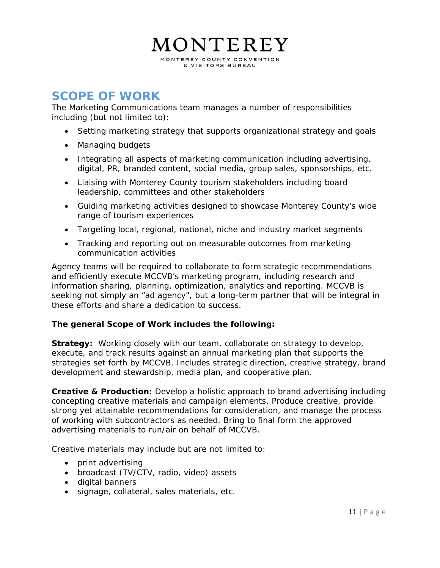

## **SCOPE OF WORK**

The Marketing Communications team manages a number of responsibilities including (but not limited to):

- Setting marketing strategy that supports organizational strategy and goals
- Managing budgets
- Integrating all aspects of marketing communication including advertising, digital, PR, branded content, social media, group sales, sponsorships, etc.
- Liaising with Monterey County tourism stakeholders including board leadership, committees and other stakeholders
- Guiding marketing activities designed to showcase Monterey County's wide range of tourism experiences
- Targeting local, regional, national, niche and industry market segments
- Tracking and reporting out on measurable outcomes from marketing communication activities

Agency teams will be required to collaborate to form strategic recommendations and efficiently execute MCCVB's marketing program, including research and information sharing, planning, optimization, analytics and reporting. MCCVB is seeking not simply an "ad agency", but a long-term partner that will be integral in these efforts and share a dedication to success.

#### **The general Scope of Work includes the following:**

**Strategy:** Working closely with our team, collaborate on strategy to develop, execute, and track results against an annual marketing plan that supports the strategies set forth by MCCVB. Includes strategic direction, creative strategy, brand development and stewardship, media plan, and cooperative plan.

**Creative & Production:** Develop a holistic approach to brand advertising including concepting creative materials and campaign elements. Produce creative, provide strong yet attainable recommendations for consideration, and manage the process of working with subcontractors as needed. Bring to final form the approved advertising materials to run/air on behalf of MCCVB.

Creative materials may include but are not limited to:

- print advertising
- broadcast (TV/CTV, radio, video) assets
- digital banners
- signage, collateral, sales materials, etc.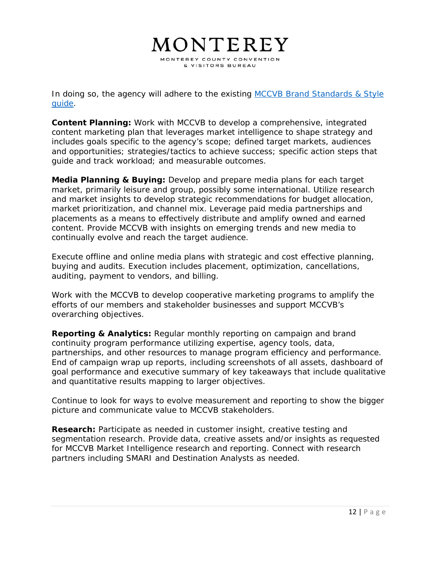MONTEREY

MONTEREY COUNTY CONVENTION & VISITORS BUREAU

In doing so, the agency will adhere to the existing MCCVB Brand Standards & Style guide.

**Content Planning:** Work with MCCVB to develop a comprehensive, integrated content marketing plan that leverages market intelligence to shape strategy and includes goals specific to the agency's scope; defined target markets, audiences and opportunities; strategies/tactics to achieve success; specific action steps that guide and track workload; and measurable outcomes.

**Media Planning & Buying:** Develop and prepare media plans for each target market, primarily leisure and group, possibly some international. Utilize research and market insights to develop strategic recommendations for budget allocation, market prioritization, and channel mix. Leverage paid media partnerships and placements as a means to effectively distribute and amplify owned and earned content. Provide MCCVB with insights on emerging trends and new media to continually evolve and reach the target audience.

Execute offline and online media plans with strategic and cost effective planning, buying and audits. Execution includes placement, optimization, cancellations, auditing, payment to vendors, and billing.

Work with the MCCVB to develop cooperative marketing programs to amplify the efforts of our members and stakeholder businesses and support MCCVB's overarching objectives.

**Reporting & Analytics:** Regular monthly reporting on campaign and brand continuity program performance utilizing expertise, agency tools, data, partnerships, and other resources to manage program efficiency and performance. End of campaign wrap up reports, including screenshots of all assets, dashboard of goal performance and executive summary of key takeaways that include qualitative and quantitative results mapping to larger objectives.

Continue to look for ways to evolve measurement and reporting to show the bigger picture and communicate value to MCCVB stakeholders.

**Research:** Participate as needed in customer insight, creative testing and segmentation research. Provide data, creative assets and/or insights as requested for MCCVB Market Intelligence research and reporting. Connect with research partners including SMARI and Destination Analysts as needed.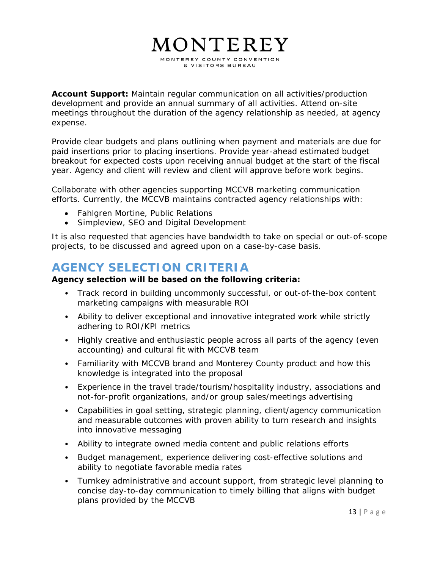**Account Support:** Maintain regular communication on all activities/production development and provide an annual summary of all activities. Attend on-site meetings throughout the duration of the agency relationship as needed, at agency expense.

Provide clear budgets and plans outlining when payment and materials are due for paid insertions prior to placing insertions. Provide year-ahead estimated budget breakout for expected costs upon receiving annual budget at the start of the fiscal year. Agency and client will review and client will approve before work begins.

Collaborate with other agencies supporting MCCVB marketing communication efforts. Currently, the MCCVB maintains contracted agency relationships with:

- Fahlgren Mortine, Public Relations
- Simpleview, SEO and Digital Development

*It is also requested that agencies have bandwidth to take on special or out-of-scope projects, to be discussed and agreed upon on a case-by-case basis.* 

## **AGENCY SELECTION CRITERIA**

#### **Agency selection will be based on the following criteria:**

- Track record in building uncommonly successful, or out-of-the-box content marketing campaigns with measurable ROI
- Ability to deliver exceptional and innovative integrated work while strictly adhering to ROI/KPI metrics
- Highly creative and enthusiastic people across all parts of the agency (even accounting) and cultural fit with MCCVB team
- Familiarity with MCCVB brand and Monterey County product and how this knowledge is integrated into the proposal
- Experience in the travel trade/tourism/hospitality industry, associations and not-for-profit organizations, and/or group sales/meetings advertising
- Capabilities in goal setting, strategic planning, client/agency communication and measurable outcomes with proven ability to turn research and insights into innovative messaging
- Ability to integrate owned media content and public relations efforts
- Budget management, experience delivering cost-effective solutions and ability to negotiate favorable media rates
- Turnkey administrative and account support, from strategic level planning to concise day-to-day communication to timely billing that aligns with budget plans provided by the MCCVB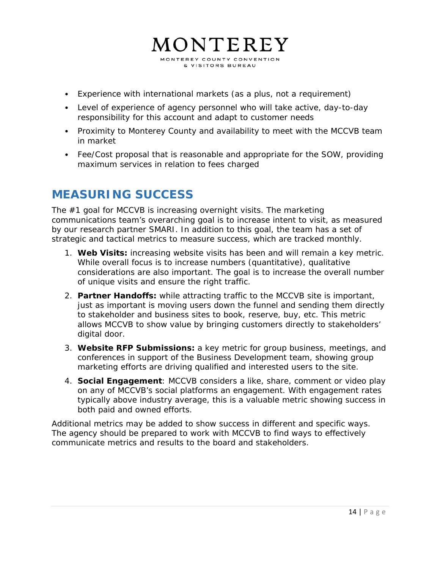- Experience with international markets (as a plus, not a requirement)
- Level of experience of agency personnel who will take active, day-to-day responsibility for this account and adapt to customer needs
- Proximity to Monterey County and availability to meet with the MCCVB team in market
- Fee/Cost proposal that is reasonable and appropriate for the SOW, providing maximum services in relation to fees charged

## **MEASURING SUCCESS**

The #1 goal for MCCVB is increasing overnight visits. The marketing communications team's overarching goal is to increase intent to visit, as measured by our research partner SMARI. In addition to this goal, the team has a set of strategic and tactical metrics to measure success, which are tracked monthly.

- 1. **Web Visits:** increasing website visits has been and will remain a key metric. While overall focus is to increase numbers (quantitative), qualitative considerations are also important. The goal is to increase the overall number of unique visits and ensure the right traffic.
- 2. **Partner Handoffs:** while attracting traffic to the MCCVB site is important, just as important is moving users down the funnel and sending them directly to stakeholder and business sites to book, reserve, buy, etc. This metric allows MCCVB to show value by bringing customers directly to stakeholders' digital door.
- 3. **Website RFP Submissions:** a key metric for group business, meetings, and conferences in support of the Business Development team, showing group marketing efforts are driving qualified and interested users to the site.
- 4. **Social Engagement**: MCCVB considers a like, share, comment or video play on any of MCCVB's social platforms an engagement. With engagement rates typically above industry average, this is a valuable metric showing success in both paid and owned efforts.

Additional metrics may be added to show success in different and specific ways. The agency should be prepared to work with MCCVB to find ways to effectively communicate metrics and results to the board and stakeholders.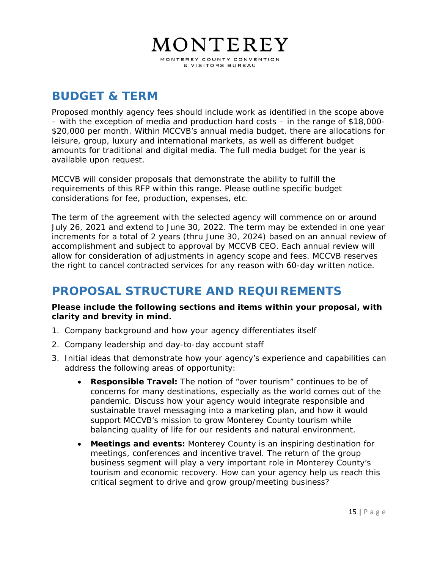# MONTEREY MONTEREY COUNTY CONVENTION

& VISITORS BUREAU

## **BUDGET & TERM**

Proposed monthly agency fees should include work as identified in the scope above – with the exception of media and production hard costs – in the range of \$18,000- \$20,000 per month. Within MCCVB's annual media budget, there are allocations for leisure, group, luxury and international markets, as well as different budget amounts for traditional and digital media. The full media budget for the year is available upon request.

MCCVB will consider proposals that demonstrate the ability to fulfill the requirements of this RFP within this range. Please outline specific budget considerations for fee, production, expenses, etc.

The term of the agreement with the selected agency will commence on or around July 26, 2021 and extend to June 30, 2022. The term may be extended in one year increments for a total of 2 years (thru June 30, 2024) based on an annual review of accomplishment and subject to approval by MCCVB CEO. Each annual review will allow for consideration of adjustments in agency scope and fees. MCCVB reserves the right to cancel contracted services for any reason with 60-day written notice.

# **PROPOSAL STRUCTURE AND REQUIREMENTS**

#### **Please include the following sections and items within your proposal, with clarity and brevity in mind.**

- 1. Company background and how your agency differentiates itself
- 2. Company leadership and day-to-day account staff
- 3. Initial ideas that demonstrate how your agency's experience and capabilities can address the following areas of opportunity:
	- **Responsible Travel:** The notion of "over tourism" continues to be of concerns for many destinations, especially as the world comes out of the pandemic. Discuss how your agency would integrate responsible and sustainable travel messaging into a marketing plan, and how it would support MCCVB's mission to grow Monterey County tourism while balancing quality of life for our residents and natural environment.
	- **Meetings and events:** Monterey County is an inspiring destination for meetings, conferences and incentive travel. The return of the group business segment will play a very important role in Monterey County's tourism and economic recovery. How can your agency help us reach this critical segment to drive and grow group/meeting business?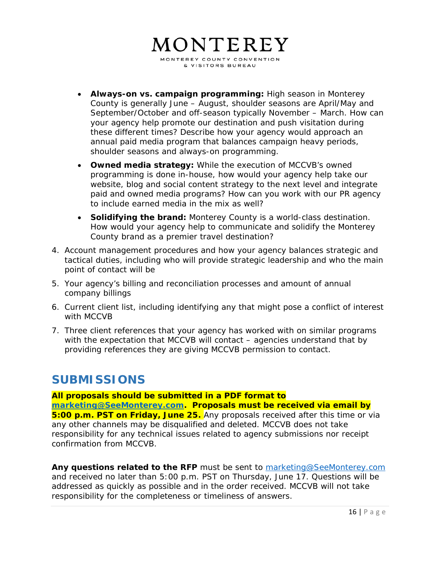# MONTEREY

MONTEREY COUNTY CONVENTION & VISITORS BUREAU

- **Always-on vs. campaign programming:** High season in Monterey County is generally June – August, shoulder seasons are April/May and September/October and off-season typically November – March. How can your agency help promote our destination and push visitation during these different times? Describe how your agency would approach an annual paid media program that balances campaign heavy periods, shoulder seasons and always-on programming.
- **Owned media strategy:** While the execution of MCCVB's owned programming is done in-house, how would your agency help take our website, blog and social content strategy to the next level and integrate paid and owned media programs? How can you work with our PR agency to include earned media in the mix as well?
- **Solidifying the brand:** Monterey County is a world-class destination. How would your agency help to communicate and solidify the Monterey County brand as a premier travel destination?
- 4. Account management procedures and how your agency balances strategic and tactical duties, including who will provide strategic leadership and who the main point of contact will be
- 5. Your agency's billing and reconciliation processes and amount of annual company billings
- 6. Current client list, including identifying any that might pose a conflict of interest with MCCVB
- 7. Three client references that your agency has worked with on similar programs with the expectation that MCCVB will contact – agencies understand that by providing references they are giving MCCVB permission to contact.

## **SUBMISSIONS**

**All proposals should be submitted in a PDF format to marketing@SeeMonterey.com. Proposals must be received via email by 5:00 p.m. PST on Friday, June 25.** Any proposals received after this time or via any other channels may be disqualified and deleted. MCCVB does not take responsibility for any technical issues related to agency submissions nor receipt confirmation from MCCVB.

Any questions related to the RFP must be sent to marketing@SeeMonterey.com and received no later than 5:00 p.m. PST on Thursday, June 17. Questions will be addressed as quickly as possible and in the order received. MCCVB will not take responsibility for the completeness or timeliness of answers.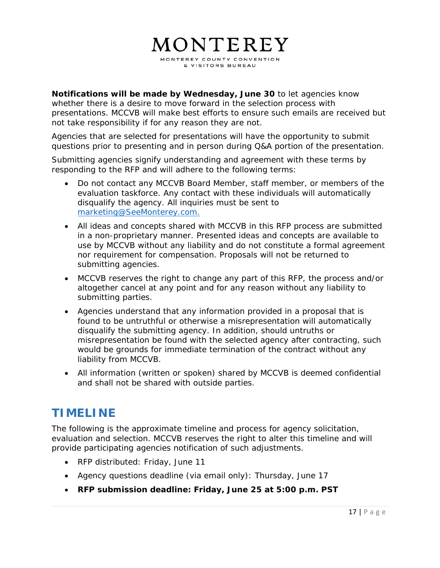**Notifications will be made by Wednesday, June 30** to let agencies know whether there is a desire to move forward in the selection process with presentations. MCCVB will make best efforts to ensure such emails are received but not take responsibility if for any reason they are not.

Agencies that are selected for presentations will have the opportunity to submit questions prior to presenting and in person during Q&A portion of the presentation.

Submitting agencies signify understanding and agreement with these terms by responding to the RFP and will adhere to the following terms:

- Do not contact any MCCVB Board Member, staff member, or members of the evaluation taskforce. Any contact with these individuals will automatically disqualify the agency. All inquiries must be sent to marketing@SeeMonterey.com.
- All ideas and concepts shared with MCCVB in this RFP process are submitted in a non-proprietary manner. Presented ideas and concepts are available to use by MCCVB without any liability and do not constitute a formal agreement nor requirement for compensation. Proposals will not be returned to submitting agencies.
- MCCVB reserves the right to change any part of this RFP, the process and/or altogether cancel at any point and for any reason without any liability to submitting parties.
- Agencies understand that any information provided in a proposal that is found to be untruthful or otherwise a misrepresentation will automatically disqualify the submitting agency. In addition, should untruths or misrepresentation be found with the selected agency after contracting, such would be grounds for immediate termination of the contract without any liability from MCCVB.
- All information (written or spoken) shared by MCCVB is deemed confidential and shall not be shared with outside parties.

# **TIMELINE**

The following is the approximate timeline and process for agency solicitation, evaluation and selection. MCCVB reserves the right to alter this timeline and will provide participating agencies notification of such adjustments.

- RFP distributed: Friday, June 11
- Agency questions deadline (via email only): Thursday, June 17
- **RFP submission deadline: Friday, June 25 at 5:00 p.m. PST**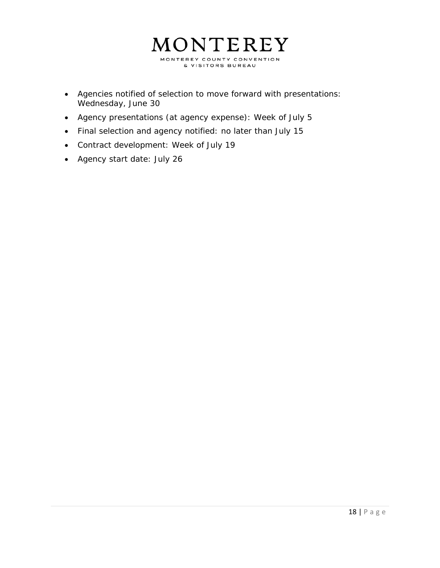

- Agencies notified of selection to move forward with presentations: Wednesday, June 30
- Agency presentations (at agency expense): Week of July 5
- Final selection and agency notified: no later than July 15
- Contract development: Week of July 19
- Agency start date: July 26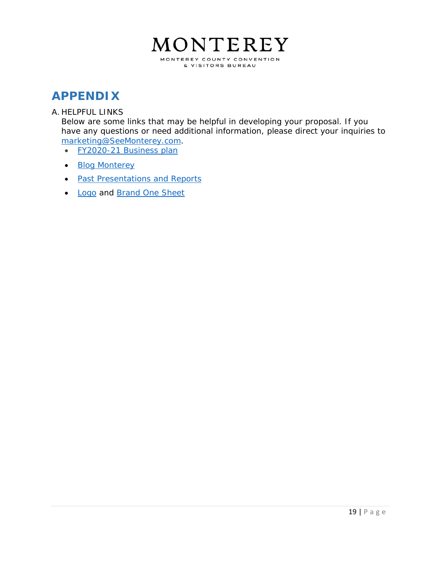

## **APPENDIX**

#### A. HELPFUL LINKS

Below are some links that may be helpful in developing your proposal. If you have any questions or need additional information, please direct your inquiries to marketing@SeeMonterey.com.

- FY2020-21 Business plan
- Blog Monterey
- Past Presentations and Reports
- Logo and Brand One Sheet